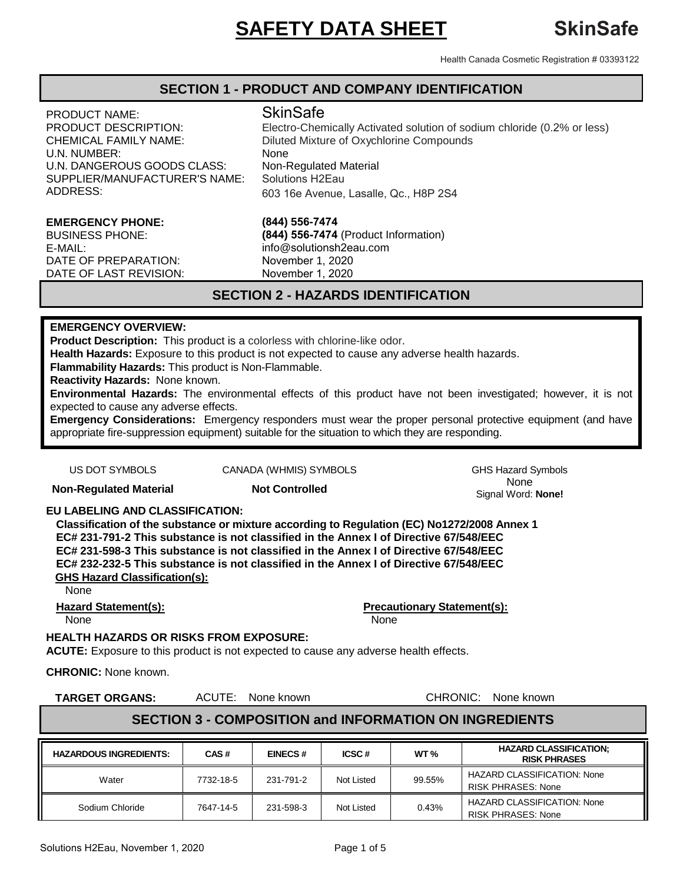# **SAFETY DATA SHEET** SkinSafe

Health Canada Cosmetic Registration # 03393122

### **SECTION 1 - PRODUCT AND COMPANY IDENTIFICATION**

PRODUCT NAME: PRODUCT DESCRIPTION: CHEMICAL FAMILY NAME: U.N. NUMBER: U.N. DANGEROUS GOODS CLASS: SUPPLIER/MANUFACTURER'S NAME: ADDRESS:

#### **EMERGENCY PHONE:**

BUSINESS PHONE: E-MAIL: DATE OF PREPARATION: DATE OF LAST REVISION:

# **SkinSafe**

Electro-Chemically Activated solution of sodium chloride (0.2% or less) Diluted Mixture of Oxychlorine Compounds None Non-Regulated Material<br>Solutions H2Eau 603 16e Avenue, Lasalle, Qc., H8P 2S4

# **(844) 556-7474**

**(844) 556-7474** (Product Information) info@solutionsh2eau.com November 1, 2020 November 1, 2020

# **SECTION 2 - HAZARDS IDENTIFICATION**

#### **EMERGENCY OVERVIEW:**

**Product Description:** This product is a colorless with chlorine-like odor.

**Health Hazards:** Exposure to this product is not expected to cause any adverse health hazards.

**Flammability Hazards:** This product is Non-Flammable.

**Reactivity Hazards:** None known.

**Environmental Hazards:** The environmental effects of this product have not been investigated; however, it is not expected to cause any adverse effects.

**Emergency Considerations:** Emergency responders must wear the proper personal protective equipment (and have appropriate fire-suppression equipment) suitable for the situation to which they are responding.

US DOT SYMBOLS CANADA (WHMIS) SYMBOLS CHS Hazard Symbols

**Non-Requlated Material <b>Not Controlled None** None None Signal Word: **None!**

#### **EU LABELING AND CLASSIFICATION:**

**Classification of the substance or mixture according to Regulation (EC) No1272/2008 Annex 1 EC# 231-791-2 This substance is not classified in the Annex I of Directive 67/548/EEC EC# 231-598-3 This substance is not classified in the Annex I of Directive 67/548/EEC EC# 232-232-5 This substance is not classified in the Annex I of Directive 67/548/EEC GHS Hazard Classification(s):**

None

None None

**Hazard Statement(s): Precautionary Statement(s):**

#### **HEALTH HAZARDS OR RISKS FROM EXPOSURE:**

**ACUTE:** Exposure to this product is not expected to cause any adverse health effects.

**CHRONIC:** None known.

**TARGET ORGANS:** ACUTE: None known CHRONIC: None known

# **SECTION 3 - COMPOSITION and INFORMATION ON INGREDIENTS**

| <b>HAZARDOUS INGREDIENTS:</b> | CAS#      | <b>EINECS#</b> | ICSC#      | WT $\%$ | <b>HAZARD CLASSIFICATION;</b><br><b>RISK PHRASES</b>            |
|-------------------------------|-----------|----------------|------------|---------|-----------------------------------------------------------------|
| Water                         | 7732-18-5 | 231-791-2      | Not Listed | 99.55%  | <b>HAZARD CLASSIFICATION: None</b><br><b>RISK PHRASES: None</b> |
| Sodium Chloride               | 7647-14-5 | 231-598-3      | Not Listed | 0.43%   | <b>HAZARD CLASSIFICATION: None</b><br><b>RISK PHRASES: None</b> |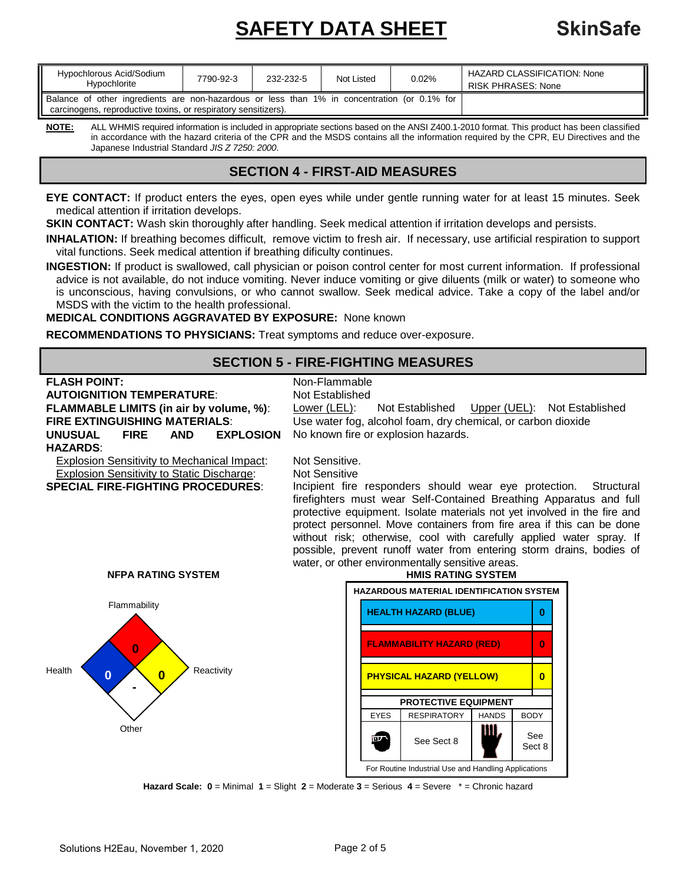# **SAFETY DATA SHEET** SkinSafe

| Hypochlorous Acid/Sodium<br>Hypochlorite                                                                                                                       | 7790-92-3 | 232-232-5 | Not Listed | 0.02% | <b>HAZARD CLASSIFICATION: None</b><br><b>RISK PHRASES: None</b> |
|----------------------------------------------------------------------------------------------------------------------------------------------------------------|-----------|-----------|------------|-------|-----------------------------------------------------------------|
| Balance of other ingredients are non-hazardous or less than 1% in concentration (or 0.1% for<br>carcinogens, reproductive toxins, or respiratory sensitizers). |           |           |            |       |                                                                 |

**NOTE:** ALL WHMIS required information is included in appropriate sections based on the ANSI Z400.1-2010 format. This product has been classified in accordance with the hazard criteria of the CPR and the MSDS contains all the information required by the CPR, EU Directives and the Japanese Industrial Standard *JIS Z 7250: 2000*.

# **SECTION 4 - FIRST-AID MEASURES**

**EYE CONTACT:** If product enters the eyes, open eyes while under gentle running water for at least 15 minutes. Seek medical attention if irritation develops.

**SKIN CONTACT:** Wash skin thoroughly after handling. Seek medical attention if irritation develops and persists.

**INHALATION:** If breathing becomes difficult, remove victim to fresh air. If necessary, use artificial respiration to support vital functions. Seek medical attention if breathing dificulty continues.

**INGESTION:** If product is swallowed, call physician or poison control center for most current information. If professional advice is not available, do not induce vomiting. Never induce vomiting or give diluents (milk or water) to someone who is unconscious, having convulsions, or who cannot swallow. Seek medical advice. Take a copy of the label and/or MSDS with the victim to the health professional.

#### **MEDICAL CONDITIONS AGGRAVATED BY EXPOSURE:** None known

**RECOMMENDATIONS TO PHYSICIANS:** Treat symptoms and reduce over-exposure.

# **SECTION 5 - FIRE-FIGHTING MEASURES**



**Hazard Scale: 0** = Minimal **1** = Slight **2** = Moderate **3** = Serious **4** = Severe \* = Chronic hazard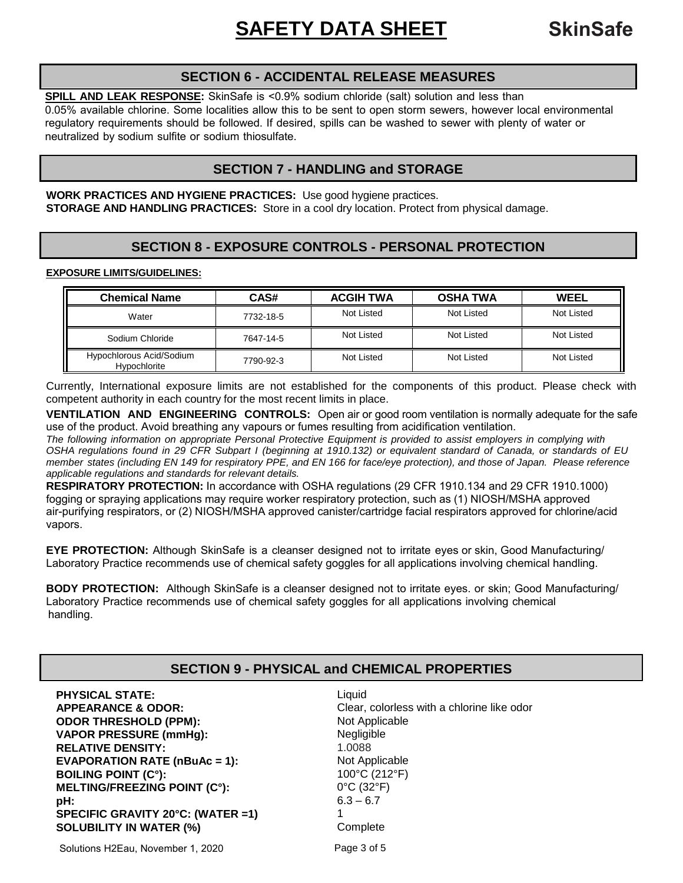# **SECTION 6 - ACCIDENTAL RELEASE MEASURES**

**SPILL AND LEAK RESPONSE:** SkinSafe is <0.9% sodium chloride (salt) solution and less than 0.05% available chlorine. Some localities allow this to be sent to open storm sewers, however local environmental regulatory requirements should be followed. If desired, spills can be washed to sewer with plenty of water or neutralized by sodium sulfite or sodium thiosulfate.

# **SECTION 7 - HANDLING and STORAGE**

**WORK PRACTICES AND HYGIENE PRACTICES:** Use good hygiene practices. **STORAGE AND HANDLING PRACTICES:** Store in a cool dry location. Protect from physical damage.

# **SECTION 8 - EXPOSURE CONTROLS - PERSONAL PROTECTION**

#### **EXPOSURE LIMITS/GUIDELINES:**

| <b>Chemical Name</b>                     | CAS#      | <b>ACGIH TWA</b> | <b>OSHA TWA</b> | WEEL       |
|------------------------------------------|-----------|------------------|-----------------|------------|
| Water                                    | 7732-18-5 | Not Listed       | Not Listed      | Not Listed |
| Sodium Chloride                          | 7647-14-5 | Not Listed       | Not Listed      | Not Listed |
| Hypochlorous Acid/Sodium<br>Hypochlorite | 7790-92-3 | Not Listed       | Not Listed      | Not Listed |

Currently, International exposure limits are not established for the components of this product. Please check with competent authority in each country for the most recent limits in place.

**VENTILATION AND ENGINEERING CONTROLS:** Open air or good room ventilation is normally adequate for the safe use of the product. Avoid breathing any vapours or fumes resulting from acidification ventilation.

*The following information on appropriate Personal Protective Equipment is provided to assist employers in complying with OSHA regulations found in 29 CFR Subpart I (beginning at 1910.132) or equivalent standard of Canada, or standards of EU member states (including EN 149 for respiratory PPE, and EN 166 for face/eye protection), and those of Japan. Please reference applicable regulations and standards for relevant details.* 

**RESPIRATORY PROTECTION:** In accordance with OSHA regulations (29 CFR 1910.134 and 29 CFR 1910.1000) fogging or spraying applications may require worker respiratory protection, such as (1) NIOSH/MSHA approved air-purifying respirators, or (2) NIOSH/MSHA approved canister/cartridge facial respirators approved for chlorine/acid vapors.

**EYE PROTECTION:** Although SkinSafe is a cleanser designed not to irritate eyes or skin, Good Manufacturing/ Laboratory Practice recommends use of chemical safety goggles for all applications involving chemical handling.

**BODY PROTECTION:** Although SkinSafe is a cleanser designed not to irritate eyes. or skin; Good Manufacturing/ Laboratory Practice recommends use of chemical safety goggles for all applications involving chemical handling.

# **SECTION 9 - PHYSICAL and CHEMICAL PROPERTIES**

**PHYSICAL STATE:** Liquid **APPEARANCE & ODOR:** Clear, colorless with a chlorine like odor **ODOR THRESHOLD (PPM):** Not Applicable **VAPOR PRESSURE (mmHg):** Negligible **RELATIVE DENSITY:** 1.0088<br> **EVAPORATION RATE (nBuAc = 1):** Not Applicable **EVAPORATION RATE (nBuAc = 1): BOILING POINT (C°):** 100°C (212°F)<br> **MELTING/FREEZING POINT (C°):** 0°C (32°F) **MELTING/FREEZING POINT (C°): pH:** 6.3 – 6.7 **SPECIFIC GRAVITY 20°C: (WATER =1)** 1 **SOLUBILITY IN WATER (%)** Complete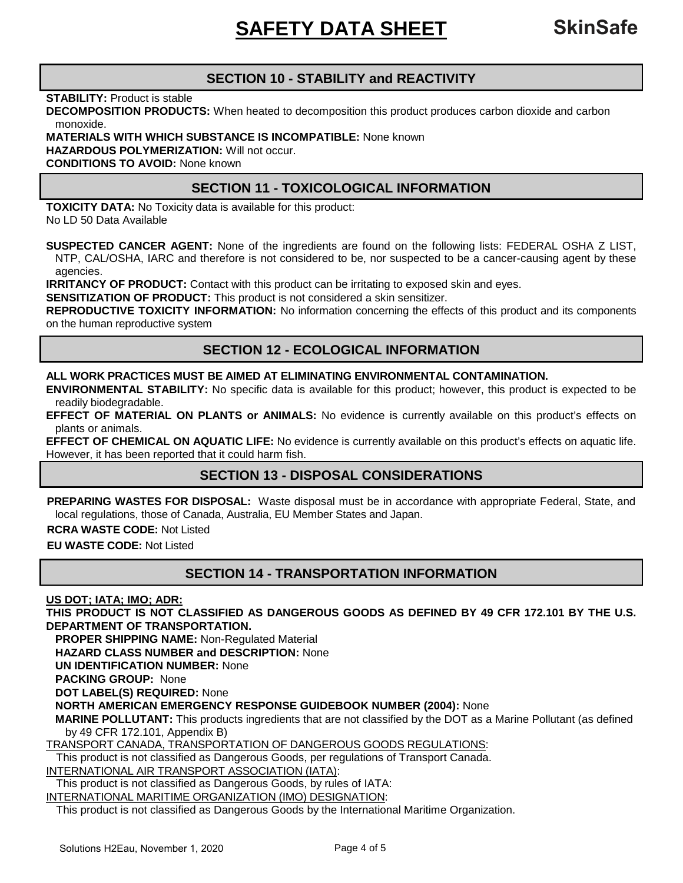# **SECTION 10 - STABILITY and REACTIVITY**

**STABILITY:** Product is stable

**DECOMPOSITION PRODUCTS:** When heated to decomposition this product produces carbon dioxide and carbon monoxide.

#### **MATERIALS WITH WHICH SUBSTANCE IS INCOMPATIBLE:** None known

**HAZARDOUS POLYMERIZATION:** Will not occur.

**CONDITIONS TO AVOID:** None known

# **SECTION 11 - TOXICOLOGICAL INFORMATION**

**TOXICITY DATA:** No Toxicity data is available for this product: No LD 50 Data Available

**SUSPECTED CANCER AGENT:** None of the ingredients are found on the following lists: FEDERAL OSHA Z LIST, NTP, CAL/OSHA, IARC and therefore is not considered to be, nor suspected to be a cancer-causing agent by these agencies.

**IRRITANCY OF PRODUCT:** Contact with this product can be irritating to exposed skin and eyes.

**SENSITIZATION OF PRODUCT:** This product is not considered a skin sensitizer.

**REPRODUCTIVE TOXICITY INFORMATION:** No information concerning the effects of this product and its components on the human reproductive system

# **SECTION 12 - ECOLOGICAL INFORMATION**

#### **ALL WORK PRACTICES MUST BE AIMED AT ELIMINATING ENVIRONMENTAL CONTAMINATION.**

**ENVIRONMENTAL STABILITY:** No specific data is available for this product; however, this product is expected to be readily biodegradable.

**EFFECT OF MATERIAL ON PLANTS or ANIMALS:** No evidence is currently available on this product's effects on plants or animals.

**EFFECT OF CHEMICAL ON AQUATIC LIFE:** No evidence is currently available on this product's effects on aquatic life. However, it has been reported that it could harm fish.

### **SECTION 13 - DISPOSAL CONSIDERATIONS**

**PREPARING WASTES FOR DISPOSAL:** Waste disposal must be in accordance with appropriate Federal, State, and local regulations, those of Canada, Australia, EU Member States and Japan.

**RCRA WASTE CODE:** Not Listed

**EU WASTE CODE:** Not Listed

### **SECTION 14 - TRANSPORTATION INFORMATION**

**US DOT; IATA; IMO; ADR:**

**THIS PRODUCT IS NOT CLASSIFIED AS DANGEROUS GOODS AS DEFINED BY 49 CFR 172.101 BY THE U.S. DEPARTMENT OF TRANSPORTATION.**

**PROPER SHIPPING NAME:** Non-Regulated Material

**HAZARD CLASS NUMBER and DESCRIPTION:** None

**UN IDENTIFICATION NUMBER:** None

**PACKING GROUP:** None

**DOT LABEL(S) REQUIRED:** None

**NORTH AMERICAN EMERGENCY RESPONSE GUIDEBOOK NUMBER (2004):** None

**MARINE POLLUTANT:** This products ingredients that are not classified by the DOT as a Marine Pollutant (as defined by 49 CFR 172.101, Appendix B)

TRANSPORT CANADA, TRANSPORTATION OF DANGEROUS GOODS REGULATIONS:

This product is not classified as Dangerous Goods, per regulations of Transport Canada.

INTERNATIONAL AIR TRANSPORT ASSOCIATION (IATA):

This product is not classified as Dangerous Goods, by rules of IATA:

INTERNATIONAL MARITIME ORGANIZATION (IMO) DESIGNATION:

This product is not classified as Dangerous Goods by the International Maritime Organization.